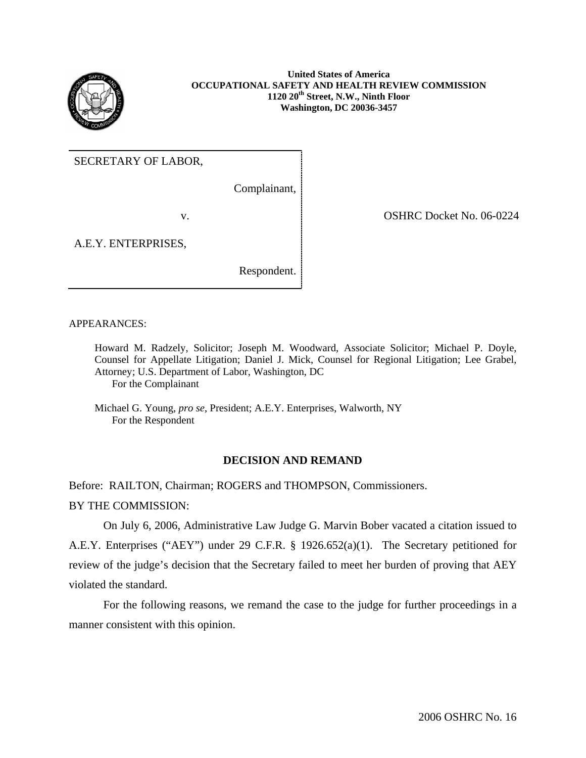

**United States of America OCCUPATIONAL SAFETY AND HEALTH REVIEW COMMISSION 1120 20th Street, N.W., Ninth Floor Washington, DC 20036-3457** 

SECRETARY OF LABOR,

Complainant,

v. COSHRC Docket No. 06-0224

A.E.Y. ENTERPRISES,

Respondent.

APPEARANCES:

Howard M. Radzely, Solicitor; Joseph M. Woodward, Associate Solicitor; Michael P. Doyle, Counsel for Appellate Litigation; Daniel J. Mick, Counsel for Regional Litigation; Lee Grabel, Attorney; U.S. Department of Labor, Washington, DC For the Complainant

Michael G. Young, *pro se*, President; A.E.Y. Enterprises, Walworth, NY For the Respondent

# **DECISION AND REMAND**

Before: RAILTON, Chairman; ROGERS and THOMPSON, Commissioners.

BY THE COMMISSION:

On July 6, 2006, Administrative Law Judge G. Marvin Bober vacated a citation issued to A.E.Y. Enterprises ("AEY") under 29 C.F.R. § 1926.652(a)(1). The Secretary petitioned for review of the judge's decision that the Secretary failed to meet her burden of proving that AEY violated the standard.

For the following reasons, we remand the case to the judge for further proceedings in a manner consistent with this opinion.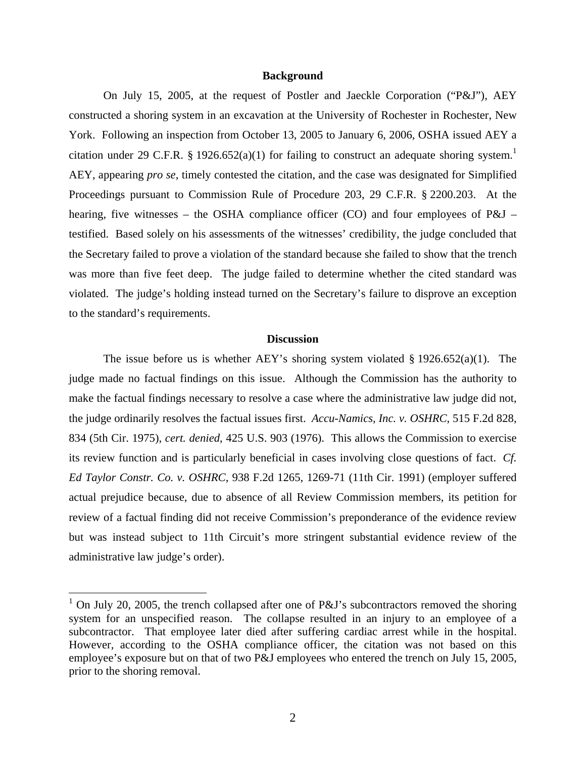### **Background**

On July 15, 2005, at the request of Postler and Jaeckle Corporation ("P&J"), AEY constructed a shoring system in an excavation at the University of Rochester in Rochester, New York. Following an inspection from October 13, 2005 to January 6, 2006, OSHA issued AEY a citation under 29 C.F.R. § [1](#page-1-0)926.652(a)(1) for failing to construct an adequate shoring system.<sup>1</sup> AEY, appearing *pro se*, timely contested the citation, and the case was designated for Simplified Proceedings pursuant to Commission Rule of Procedure 203, 29 C.F.R. § 2200.203. At the hearing, five witnesses – the OSHA compliance officer (CO) and four employees of P&J – testified. Based solely on his assessments of the witnesses' credibility, the judge concluded that the Secretary failed to prove a violation of the standard because she failed to show that the trench was more than five feet deep. The judge failed to determine whether the cited standard was violated. The judge's holding instead turned on the Secretary's failure to disprove an exception to the standard's requirements.

#### **Discussion**

The issue before us is whether AEY's shoring system violated  $\S 1926.652(a)(1)$ . The judge made no factual findings on this issue. Although the Commission has the authority to make the factual findings necessary to resolve a case where the administrative law judge did not, the judge ordinarily resolves the factual issues first. *Accu-Namics, Inc. v. OSHRC*, 515 F.2d 828, 834 (5th Cir. 1975), *cert. denied*, 425 U.S. 903 (1976). This allows the Commission to exercise its review function and is particularly beneficial in cases involving close questions of fact. *Cf. Ed Taylor Constr. Co. v. OSHRC*, 938 F.2d 1265, 1269-71 (11th Cir. 1991) (employer suffered actual prejudice because, due to absence of all Review Commission members, its petition for review of a factual finding did not receive Commission's preponderance of the evidence review but was instead subject to 11th Circuit's more stringent substantial evidence review of the administrative law judge's order).

<u>.</u>

<span id="page-1-0"></span><sup>&</sup>lt;sup>1</sup> On July 20, 2005, the trench collapsed after one of P&J's subcontractors removed the shoring system for an unspecified reason. The collapse resulted in an injury to an employee of a subcontractor. That employee later died after suffering cardiac arrest while in the hospital. However, according to the OSHA compliance officer, the citation was not based on this employee's exposure but on that of two P&J employees who entered the trench on July 15, 2005, prior to the shoring removal.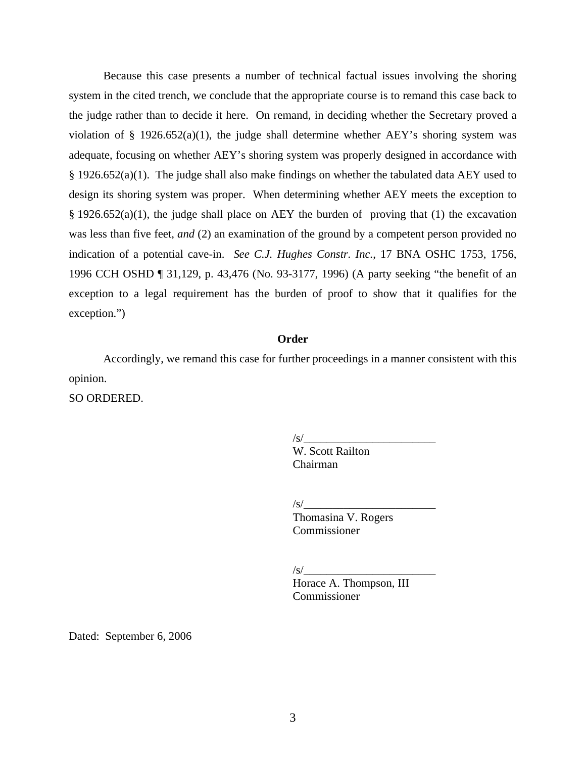Because this case presents a number of technical factual issues involving the shoring system in the cited trench, we conclude that the appropriate course is to remand this case back to the judge rather than to decide it here. On remand, in deciding whether the Secretary proved a violation of § 1926.652(a)(1), the judge shall determine whether AEY's shoring system was adequate, focusing on whether AEY's shoring system was properly designed in accordance with § 1926.652(a)(1). The judge shall also make findings on whether the tabulated data AEY used to design its shoring system was proper. When determining whether AEY meets the exception to § 1926.652(a)(1), the judge shall place on AEY the burden of proving that (1) the excavation was less than five feet, *and* (2) an examination of the ground by a competent person provided no indication of a potential cave-in. *See C.J. Hughes Constr. Inc.*, 17 BNA OSHC 1753, 1756, 1996 CCH OSHD ¶ 31,129, p. 43,476 (No. 93-3177, 1996) (A party seeking "the benefit of an exception to a legal requirement has the burden of proof to show that it qualifies for the exception.")

# **Order**

Accordingly, we remand this case for further proceedings in a manner consistent with this opinion.

SO ORDERED.

 $\sqrt{s}$ /

 W. Scott Railton Chairman

 $\sqrt{s}/$ 

Thomasina V. Rogers Commissioner

 $\sqrt{s}/$ 

Horace A. Thompson, III Commissioner

Dated: September 6, 2006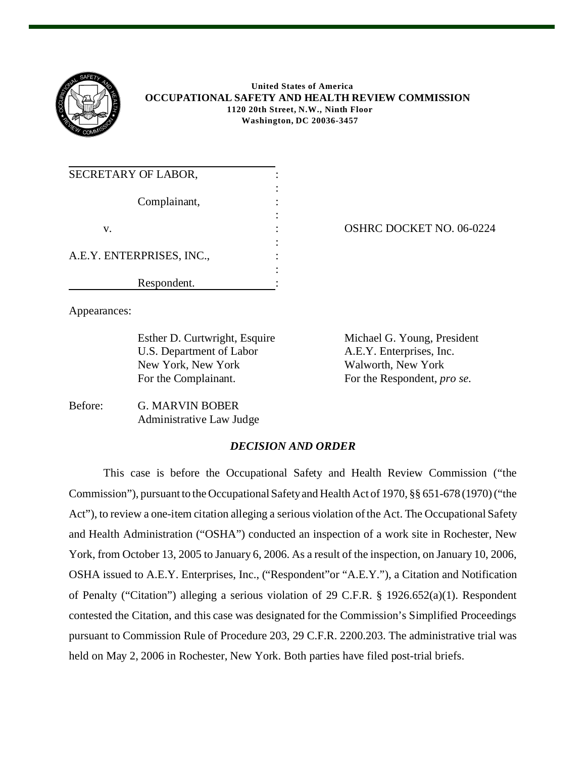

 **United States of America OCCUPATIONAL SAFETY AND HEALTH REVIEW COMMISSION 1120 20th Street, N.W., Ninth Floor Washington, DC 20036-3457**

| SECRETARY OF LABOR,       |  |
|---------------------------|--|
| Complainant,              |  |
| V.                        |  |
| A.E.Y. ENTERPRISES, INC., |  |
| Respondent.               |  |

OSHRC DOCKET NO. 06-0224

Appearances:

U.S. Department of Labor A.E.Y. Enterprises, Inc. New York, New York Walworth, New York For the Complainant. For the Respondent, *pro se*.

Esther D. Curtwright, Esquire Michael G. Young, President

Before: G. MARVIN BOBER Administrative Law Judge

# *DECISION AND ORDER*

This case is before the Occupational Safety and Health Review Commission ("the Commission"), pursuant to the Occupational Safety and Health Act of 1970, §§ 651-678 (1970) ("the Act"), to review a one-item citation alleging a serious violation of the Act. The Occupational Safety and Health Administration ("OSHA") conducted an inspection of a work site in Rochester, New York, from October 13, 2005 to January 6, 2006. As a result of the inspection, on January 10, 2006, OSHA issued to A.E.Y. Enterprises, Inc., ("Respondent"or "A.E.Y."), a Citation and Notification of Penalty ("Citation") alleging a serious violation of 29 C.F.R. § 1926.652(a)(1). Respondent contested the Citation, and this case was designated for the Commission's Simplified Proceedings pursuant to Commission Rule of Procedure 203, 29 C.F.R. 2200.203. The administrative trial was held on May 2, 2006 in Rochester, New York. Both parties have filed post-trial briefs.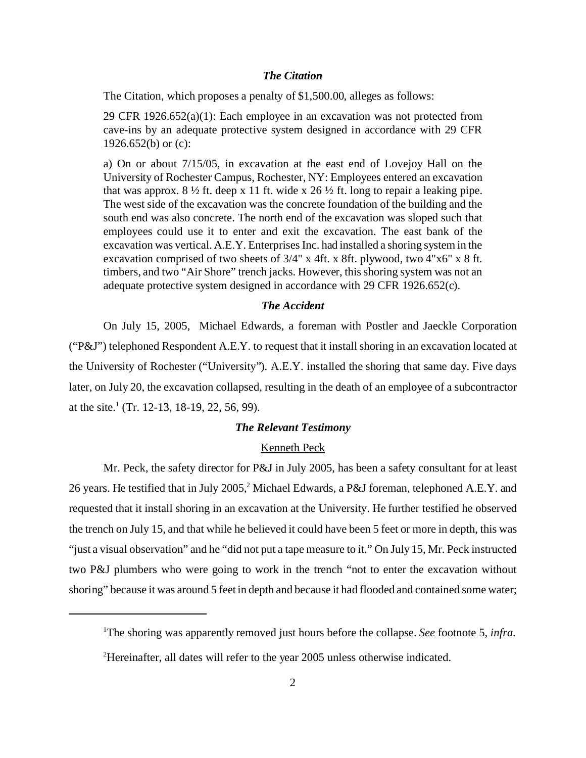### *The Citation*

The Citation, which proposes a penalty of \$1,500.00, alleges as follows:

29 CFR  $1926.652(a)(1)$ : Each employee in an excavation was not protected from cave-ins by an adequate protective system designed in accordance with 29 CFR 1926.652(b) or  $(c)$ :

a) On or about 7/15/05, in excavation at the east end of Lovejoy Hall on the University of Rochester Campus, Rochester, NY: Employees entered an excavation that was approx.  $8\frac{1}{2}$  ft. deep x 11 ft. wide x 26  $\frac{1}{2}$  ft. long to repair a leaking pipe. The west side of the excavation was the concrete foundation of the building and the south end was also concrete. The north end of the excavation was sloped such that employees could use it to enter and exit the excavation. The east bank of the excavation was vertical. A.E.Y. Enterprises Inc. had installed a shoring system in the excavation comprised of two sheets of 3/4" x 4ft. x 8ft. plywood, two 4"x6" x 8 ft. timbers, and two "Air Shore" trench jacks. However, this shoring system was not an adequate protective system designed in accordance with 29 CFR 1926.652(c).

# *The Accident*

On July 15, 2005, Michael Edwards, a foreman with Postler and Jaeckle Corporation ("P&J") telephoned Respondent A.E.Y. to request that it install shoring in an excavation located at the University of Rochester ("University"). A.E.Y. installed the shoring that same day. Five days later, on July 20, the excavation collapsed, resulting in the death of an employee of a subcontractor at the site.<sup>1</sup> (Tr. 12-13, 18-19, 22, 56, 99).

## *The Relevant Testimony*

### Kenneth Peck

Mr. Peck, the safety director for P&J in July 2005, has been a safety consultant for at least 26 years. He testified that in July 2005,<sup>2</sup> Michael Edwards, a P&J foreman, telephoned A.E.Y. and requested that it install shoring in an excavation at the University. He further testified he observed the trench on July 15, and that while he believed it could have been 5 feet or more in depth, this was "just a visual observation" and he "did not put a tape measure to it." On July 15, Mr. Peck instructed two P&J plumbers who were going to work in the trench "not to enter the excavation without shoring" because it was around 5 feet in depth and because it had flooded and contained some water;

<sup>1</sup> The shoring was apparently removed just hours before the collapse. *See* footnote 5, *infra*.

<sup>&</sup>lt;sup>2</sup>Hereinafter, all dates will refer to the year 2005 unless otherwise indicated.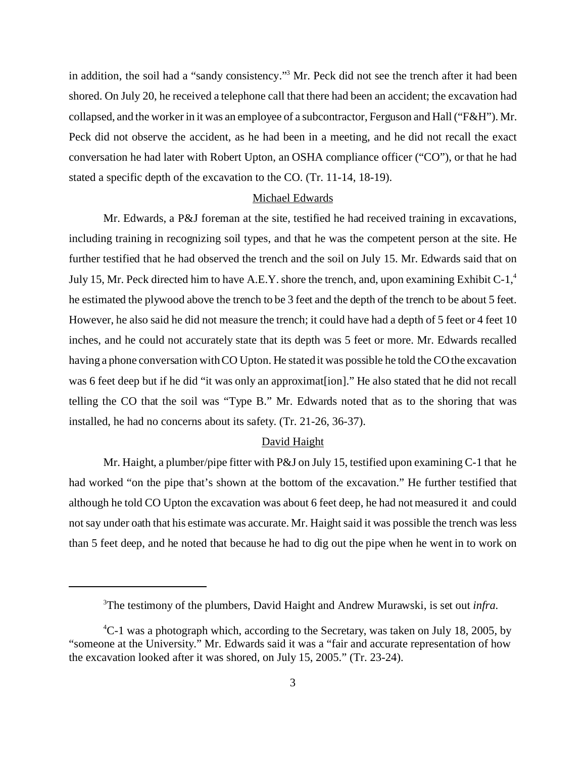in addition, the soil had a "sandy consistency."3 Mr. Peck did not see the trench after it had been shored. On July 20, he received a telephone call that there had been an accident; the excavation had collapsed, and the worker in it was an employee of a subcontractor, Ferguson and Hall ("F&H"). Mr. Peck did not observe the accident, as he had been in a meeting, and he did not recall the exact conversation he had later with Robert Upton, an OSHA compliance officer ("CO"), or that he had stated a specific depth of the excavation to the CO. (Tr. 11-14, 18-19).

### Michael Edwards

Mr. Edwards, a P&J foreman at the site, testified he had received training in excavations, including training in recognizing soil types, and that he was the competent person at the site. He further testified that he had observed the trench and the soil on July 15. Mr. Edwards said that on July 15, Mr. Peck directed him to have A.E.Y. shore the trench, and, upon examining Exhibit C-1, $4$ he estimated the plywood above the trench to be 3 feet and the depth of the trench to be about 5 feet. However, he also said he did not measure the trench; it could have had a depth of 5 feet or 4 feet 10 inches, and he could not accurately state that its depth was 5 feet or more. Mr. Edwards recalled having a phone conversation with CO Upton. He stated it was possible he told the CO the excavation was 6 feet deep but if he did "it was only an approximat[ion]." He also stated that he did not recall telling the CO that the soil was "Type B." Mr. Edwards noted that as to the shoring that was installed, he had no concerns about its safety. (Tr. 21-26, 36-37).

## David Haight

Mr. Haight, a plumber/pipe fitter with P&J on July 15, testified upon examining C-1 that he had worked "on the pipe that's shown at the bottom of the excavation." He further testified that although he told CO Upton the excavation was about 6 feet deep, he had not measured it and could not say under oath that his estimate was accurate. Mr. Haight said it was possible the trench was less than 5 feet deep, and he noted that because he had to dig out the pipe when he went in to work on

<sup>3</sup> The testimony of the plumbers, David Haight and Andrew Murawski, is set out *infra*.

<sup>&</sup>lt;sup>4</sup>C-1 was a photograph which, according to the Secretary, was taken on July 18, 2005, by "someone at the University." Mr. Edwards said it was a "fair and accurate representation of how the excavation looked after it was shored, on July 15, 2005." (Tr. 23-24).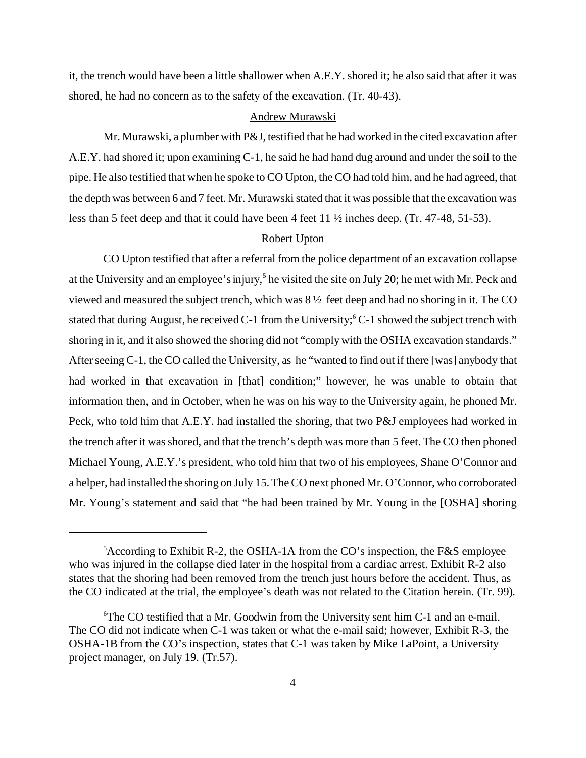it, the trench would have been a little shallower when A.E.Y. shored it; he also said that after it was shored, he had no concern as to the safety of the excavation. (Tr. 40-43).

## Andrew Murawski

Mr. Murawski, a plumber with P&J, testified that he had worked in the cited excavation after A.E.Y. had shored it; upon examining C-1, he said he had hand dug around and under the soil to the pipe. He also testified that when he spoke to CO Upton, the CO had told him, and he had agreed, that the depth was between 6 and 7 feet. Mr. Murawski stated that it was possible that the excavation was less than 5 feet deep and that it could have been 4 feet 11 ½ inches deep. (Tr. 47-48, 51-53).

## Robert Upton

CO Upton testified that after a referral from the police department of an excavation collapse at the University and an employee's injury,<sup>5</sup> he visited the site on July 20; he met with Mr. Peck and viewed and measured the subject trench, which was 8 ½ feet deep and had no shoring in it. The CO stated that during August, he received C-1 from the University; <sup>6</sup>C-1 showed the subject trench with shoring in it, and it also showed the shoring did not "comply with the OSHA excavation standards." After seeing C-1, the CO called the University, as he "wanted to find out if there [was] anybody that had worked in that excavation in [that] condition;" however, he was unable to obtain that information then, and in October, when he was on his way to the University again, he phoned Mr. Peck, who told him that A.E.Y. had installed the shoring, that two P&J employees had worked in the trench after it was shored, and that the trench's depth was more than 5 feet. The CO then phoned Michael Young, A.E.Y.'s president, who told him that two of his employees, Shane O'Connor and a helper, had installed the shoring on July 15. The CO next phoned Mr. O'Connor, who corroborated Mr. Young's statement and said that "he had been trained by Mr. Young in the [OSHA] shoring

<sup>&</sup>lt;sup>5</sup> According to Exhibit R-2, the OSHA-1A from the CO's inspection, the F&S employee who was injured in the collapse died later in the hospital from a cardiac arrest. Exhibit R-2 also states that the shoring had been removed from the trench just hours before the accident. Thus, as the CO indicated at the trial, the employee's death was not related to the Citation herein. (Tr. 99).

<sup>6</sup> The CO testified that a Mr. Goodwin from the University sent him C-1 and an e-mail. The CO did not indicate when C-1 was taken or what the e-mail said; however, Exhibit R-3, the OSHA-1B from the CO's inspection, states that C-1 was taken by Mike LaPoint, a University project manager, on July 19. (Tr.57).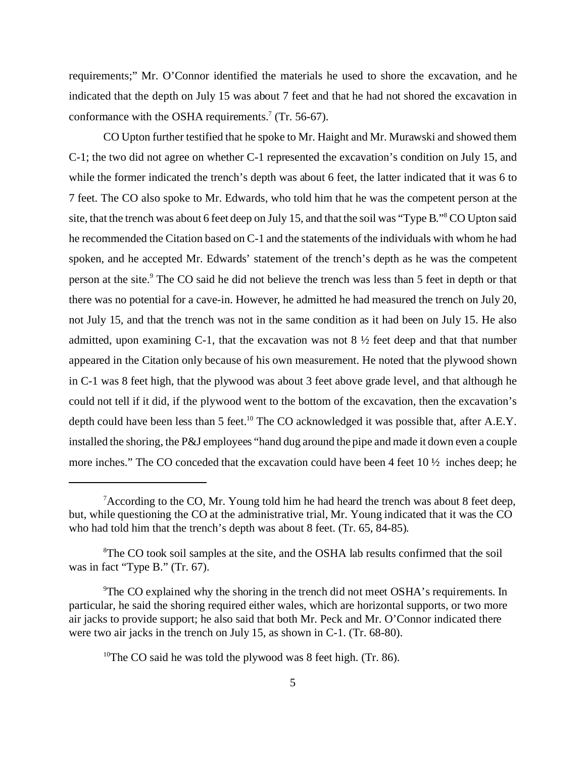requirements;" Mr. O'Connor identified the materials he used to shore the excavation, and he indicated that the depth on July 15 was about 7 feet and that he had not shored the excavation in conformance with the OSHA requirements.<sup>7</sup> (Tr. 56-67).

CO Upton further testified that he spoke to Mr. Haight and Mr. Murawski and showed them C-1; the two did not agree on whether C-1 represented the excavation's condition on July 15, and while the former indicated the trench's depth was about 6 feet, the latter indicated that it was 6 to 7 feet. The CO also spoke to Mr. Edwards, who told him that he was the competent person at the site, that the trench was about 6 feet deep on July 15, and that the soil was "Type B."8 CO Upton said he recommended the Citation based on C-1 and the statements of the individuals with whom he had spoken, and he accepted Mr. Edwards' statement of the trench's depth as he was the competent person at the site.<sup>9</sup> The CO said he did not believe the trench was less than 5 feet in depth or that there was no potential for a cave-in. However, he admitted he had measured the trench on July 20, not July 15, and that the trench was not in the same condition as it had been on July 15. He also admitted, upon examining C-1, that the excavation was not  $8\frac{1}{2}$  feet deep and that that number appeared in the Citation only because of his own measurement. He noted that the plywood shown in C-1 was 8 feet high, that the plywood was about 3 feet above grade level, and that although he could not tell if it did, if the plywood went to the bottom of the excavation, then the excavation's depth could have been less than 5 feet.<sup>10</sup> The CO acknowledged it was possible that, after A.E.Y. installed the shoring, the P&J employees "hand dug around the pipe and made it down even a couple more inches." The CO conceded that the excavation could have been 4 feet 10 ½ inches deep; he

<sup>&</sup>lt;sup>7</sup> According to the CO, Mr. Young told him he had heard the trench was about 8 feet deep, but, while questioning the CO at the administrative trial, Mr. Young indicated that it was the CO who had told him that the trench's depth was about 8 feet. (Tr. 65, 84-85).

<sup>&</sup>lt;sup>8</sup>The CO took soil samples at the site, and the OSHA lab results confirmed that the soil was in fact "Type B." (Tr. 67).

<sup>&</sup>lt;sup>9</sup>The CO explained why the shoring in the trench did not meet OSHA's requirements. In particular, he said the shoring required either wales, which are horizontal supports, or two more air jacks to provide support; he also said that both Mr. Peck and Mr. O'Connor indicated there were two air jacks in the trench on July 15, as shown in C-1. (Tr. 68-80).

<sup>&</sup>lt;sup>10</sup>The CO said he was told the plywood was 8 feet high. (Tr. 86).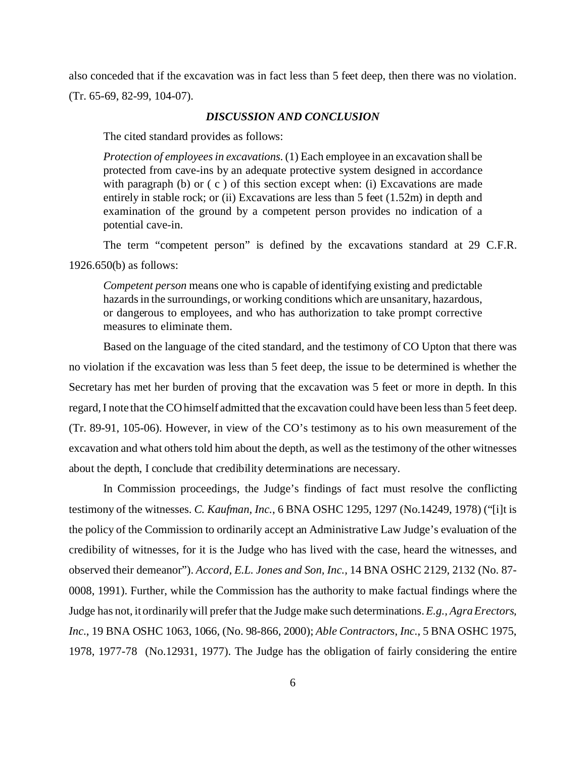also conceded that if the excavation was in fact less than 5 feet deep, then there was no violation. (Tr. 65-69, 82-99, 104-07).

#### *DISCUSSION AND CONCLUSION*

The cited standard provides as follows:

*Protection of employees in excavations*. (1) Each employee in an excavation shall be protected from cave-ins by an adequate protective system designed in accordance with paragraph (b) or  $(c)$  of this section except when: (i) Excavations are made entirely in stable rock; or (ii) Excavations are less than 5 feet (1.52m) in depth and examination of the ground by a competent person provides no indication of a potential cave-in.

The term "competent person" is defined by the excavations standard at 29 C.F.R. 1926.650(b) as follows:

*Competent person* means one who is capable of identifying existing and predictable hazards in the surroundings, or working conditions which are unsanitary, hazardous, or dangerous to employees, and who has authorization to take prompt corrective measures to eliminate them.

Based on the language of the cited standard, and the testimony of CO Upton that there was no violation if the excavation was less than 5 feet deep, the issue to be determined is whether the Secretary has met her burden of proving that the excavation was 5 feet or more in depth. In this regard, I note that the CO himself admitted that the excavation could have been less than 5 feet deep. (Tr. 89-91, 105-06). However, in view of the CO's testimony as to his own measurement of the excavation and what others told him about the depth, as well as the testimony of the other witnesses about the depth, I conclude that credibility determinations are necessary.

In Commission proceedings, the Judge's findings of fact must resolve the conflicting testimony of the witnesses. *C. Kaufman, Inc.*, 6 BNA OSHC 1295, 1297 (No.14249, 1978) ("[i]t is the policy of the Commission to ordinarily accept an Administrative Law Judge's evaluation of the credibility of witnesses, for it is the Judge who has lived with the case, heard the witnesses, and observed their demeanor"). *Accord, E.L. Jones and Son, Inc.,* 14 BNA OSHC 2129, 2132 (No. 87- 0008, 1991). Further, while the Commission has the authority to make factual findings where the Judge has not, it ordinarily will prefer that the Judge make such determinations.*E.g., Agra Erectors, Inc*., 19 BNA OSHC 1063, 1066, (No. 98-866, 2000); *Able Contractors*, *Inc.*, 5 BNA OSHC 1975, 1978, 1977-78 (No.12931, 1977). The Judge has the obligation of fairly considering the entire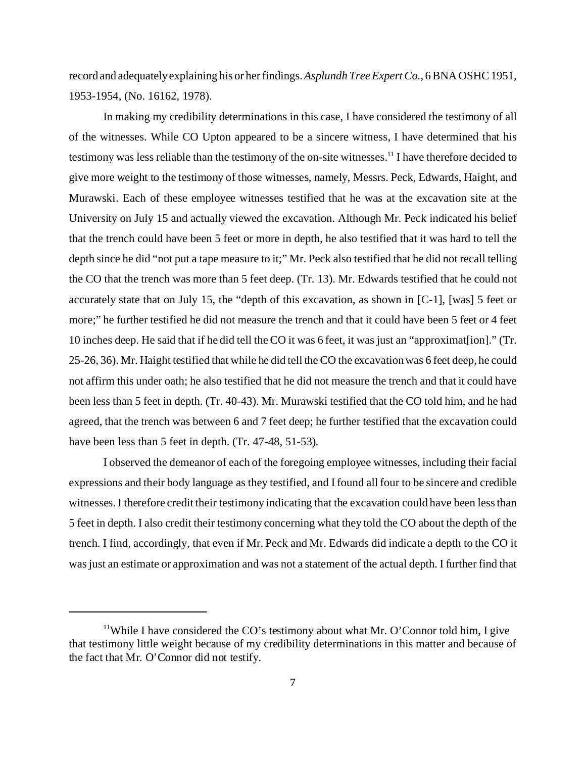record and adequately explaining his or her findings. *Asplundh Tree Expert Co.,* 6 BNA OSHC 1951, 1953-1954, (No. 16162, 1978).

In making my credibility determinations in this case, I have considered the testimony of all of the witnesses. While CO Upton appeared to be a sincere witness, I have determined that his testimony was less reliable than the testimony of the on-site witnesses.11 I have therefore decided to give more weight to the testimony of those witnesses, namely, Messrs. Peck, Edwards, Haight, and Murawski. Each of these employee witnesses testified that he was at the excavation site at the University on July 15 and actually viewed the excavation. Although Mr. Peck indicated his belief that the trench could have been 5 feet or more in depth, he also testified that it was hard to tell the depth since he did "not put a tape measure to it;" Mr. Peck also testified that he did not recall telling the CO that the trench was more than 5 feet deep. (Tr. 13). Mr. Edwards testified that he could not accurately state that on July 15, the "depth of this excavation, as shown in [C-1], [was] 5 feet or more;" he further testified he did not measure the trench and that it could have been 5 feet or 4 feet 10 inches deep. He said that if he did tell the CO it was 6 feet, it was just an "approximat[ion]." (Tr. 25-26, 36). Mr. Haight testified that while he did tell the CO the excavation was 6 feet deep, he could not affirm this under oath; he also testified that he did not measure the trench and that it could have been less than 5 feet in depth. (Tr. 40-43). Mr. Murawski testified that the CO told him, and he had agreed, that the trench was between 6 and 7 feet deep; he further testified that the excavation could have been less than 5 feet in depth. (Tr. 47-48, 51-53).

I observed the demeanor of each of the foregoing employee witnesses, including their facial expressions and their body language as they testified, and I found all four to be sincere and credible witnesses. I therefore credit their testimony indicating that the excavation could have been less than 5 feet in depth. I also credit their testimony concerning what they told the CO about the depth of the trench. I find, accordingly, that even if Mr. Peck and Mr. Edwards did indicate a depth to the CO it was just an estimate or approximation and was not a statement of the actual depth. I further find that

<sup>&</sup>lt;sup>11</sup>While I have considered the CO's testimony about what Mr. O'Connor told him, I give that testimony little weight because of my credibility determinations in this matter and because of the fact that Mr. O'Connor did not testify.